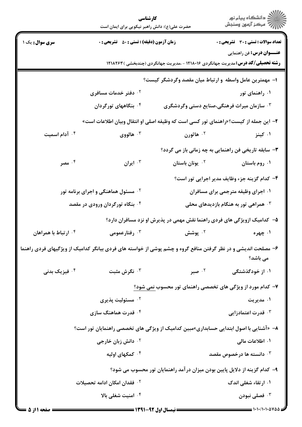|                                                                            | حضرت علی(ع): دانش راهبر نیکویی برای ایمان است                            | كارشناسي                    | ڪ دانشڪاه پيا <sub>م</sub> نور<br>۾ سرڪز آزمون وسنڊش                                                                      |  |
|----------------------------------------------------------------------------|--------------------------------------------------------------------------|-----------------------------|---------------------------------------------------------------------------------------------------------------------------|--|
| سری سوال: یک ۱                                                             | <b>زمان آزمون (دقیقه) : تستی : 50 ٪ تشریحی : 0</b>                       |                             | <b>تعداد سوالات : تستی : 30 - تشریحی : 0</b><br><b>عنـــوان درس:</b> فن راهنمایی                                          |  |
|                                                                            |                                                                          |                             | <b>رشته تحصیلی/کد درس:</b> مدیریت جهانگردی ۱۲۱۸۰۱۶ - ،مدیریت جهانگردی (چندبخشی ) ۱۲۱۸۲۶۳                                  |  |
| ا– مهمترین عامل واسطه و ارتباط میان مقصد وگردشگر کیست؟                     |                                                                          |                             |                                                                                                                           |  |
|                                                                            | ۰۲ دفتر خدمات مسافری                                                     |                             | ۰۱ راهنمای تور                                                                                                            |  |
|                                                                            | ۰۴ بنگاههای تورگردان                                                     |                             | ۰ <sup>۳</sup> سازمان میراث فرهنگی،صنایع دستی وگردشگری                                                                    |  |
|                                                                            |                                                                          |                             | ۲–  این جمله از کیست؟«راهنمای تور کسی است که وظیفه اصلی او انتقال وبیان اطلاعات است»                                      |  |
| ۰۴ آدام اسمیت                                                              | هالووی $\cdot$                                                           | ۰ <sup>۲</sup> هاثورن       | ۰۱ کینز                                                                                                                   |  |
|                                                                            |                                                                          |                             | ۳- سابقه تاریخی فن راهنمایی به چه زمانی باز می گردد؟                                                                      |  |
| ۰۴ مصر                                                                     | ۰۳ ایران                                                                 | ۰ <sup>۲</sup> يونان باستان | ۰۱ روم باستان                                                                                                             |  |
|                                                                            |                                                                          |                             | ۴– کدام گزینه جزء وظایف مدیر اجرایی تور است؟                                                                              |  |
|                                                                            | <b>گ مسئول هماهنگی و اجرای برنامه تور</b>                                |                             | ۰۱ اجرای وظیفه مترجمی برای مسافران                                                                                        |  |
|                                                                            | <sup>۴</sup> . بنگاه تورگردان ورودی در مقصد                              |                             | همراهی تور به هنگام بازدیدهای محلی $\cdot$                                                                                |  |
|                                                                            | ۵– کدامیک ازویژگی های فردی راهنما نقش مهمی در پذیرش او نزد مسافران دارد؟ |                             |                                                                                                                           |  |
| ۰۴ ارتباط با همراهان                                                       | رفتارعمومی $\cdot^{\mathsf{\tau}}$                                       | بوشش $\cdot$ ۲              | ۰۱ چهره                                                                                                                   |  |
|                                                                            |                                                                          |                             | ۶- مصلحت اندیشی و در نظر گرفتن منافع گروه و چشم پوشی از خواسته های فردی بیانگر کدامیک از ویژگیهای فردی راهنما<br>می باشد؟ |  |
| ۰ <sup>۴</sup> فیزیک بدنی                                                  | ۰ <sup>۳</sup> نگرش مثبت                                                 | ۰۲ صبر                      | ۰۱ از خودگذشتگی                                                                                                           |  |
|                                                                            |                                                                          |                             | ۷- کدام مورد از ویژگی های تخصصی راهنمای تور محسوب نمی شود؟                                                                |  |
|                                                                            | ۰ <sup>۲</sup> مسئولیت پذیری                                             |                             | ۰۱ مدیریت                                                                                                                 |  |
|                                                                            | ۰ <sup>۴</sup> قدرت هماهنگ سازی                                          |                             | ۰ <sup>۳</sup> قدرت اعتمادزایی                                                                                            |  |
|                                                                            |                                                                          |                             | ۸–  «آشنایی با اصول ابتدایی حسابداری»مبین کدامیک از ویژگی های تخصصی راهنمایان تور است؟                                    |  |
|                                                                            | ۰۲ دانش زبان خارجی                                                       |                             | ۱. اطلاعات مالی                                                                                                           |  |
|                                                                            | ۰۴ کمکهای اولیه                                                          |                             | ا دانسته ها درخصوص مقصد $\cdot$                                                                                           |  |
| ۹– کدام گزینه از دلایل پایین بودن میزان در آمد راهنمایان تور محسوب می شود؟ |                                                                          |                             |                                                                                                                           |  |
|                                                                            | ۰ <sup>۲</sup> فقدان امکان ادامه تحصیلات                                 |                             | ۰۱ ارتقاء شغلی اندک                                                                                                       |  |
|                                                                            | ۰۴ امنیت شغلی بالا                                                       |                             | فصلى نبودن $\cdot$                                                                                                        |  |
| = ۱۰۱۰/۱۰۱۰۵۷۵۵ =<br>= نیمسال اول 92-1391 =<br>صفحه ۱ از ۵                 |                                                                          |                             |                                                                                                                           |  |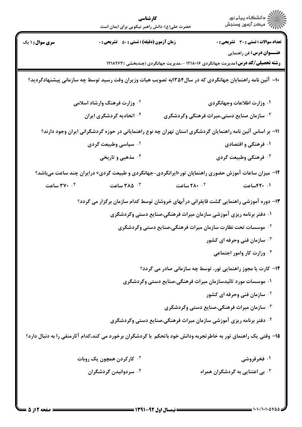| كارشناسي<br>حضرت علی(ع): دانش راهبر نیکویی برای ایمان است                                                 |                                                                                                                 |                                                                                          | ڪ دانشڪاه پيام نور<br>۾ سرڪز آزمون وسنجش    |  |  |
|-----------------------------------------------------------------------------------------------------------|-----------------------------------------------------------------------------------------------------------------|------------------------------------------------------------------------------------------|---------------------------------------------|--|--|
| سری سوال : ۱ یک                                                                                           | <b>زمان آزمون (دقیقه) : تستی : ۵۰ تشریحی : 0</b>                                                                |                                                                                          | تعداد سوالات : تستى : 30 ٪ تشريحي : 0       |  |  |
|                                                                                                           |                                                                                                                 | <b>رشته تحصیلی/کد درس:</b> مدیریت جهانگردی ۱۲۱۸۰۱۶ - ،مدیریت جهانگردی (چندبخشی ) ۱۲۱۸۲۶۳ | <b>عنـــوان درس:</b> فن راهنمایی            |  |  |
| ۱۰– آئین نامه راهنمایان جهانگردی که در سال۱۳۵۴به تصویب هیات وزیران وقت رسید توسط چه سازمانی پیشنهادگردید؟ |                                                                                                                 |                                                                                          |                                             |  |  |
|                                                                                                           | <sup>۲</sup> ۰ وزارت فرهنگ وارشاد اسلامی                                                                        |                                                                                          | ۰۱ وزارت اطلاعات وجهانگردی                  |  |  |
|                                                                                                           | ۰۴ اتحادیه گردشگری ایران                                                                                        | ۰۳ سازمان صنایع دستی،میراث فرهنگی وگردشگری                                               |                                             |  |  |
| 11– بر اساس آئین نامه راهنمایان گردشگری استان تهران چه نوع راهنمایانی در حوزه گردشگرانی ایران وجود دارند؟ |                                                                                                                 |                                                                                          |                                             |  |  |
|                                                                                                           | ۰ <sup>۲</sup> سیاسی وطبیعت گردی                                                                                |                                                                                          | ۰۱ فرهنگی و اقتصادی                         |  |  |
|                                                                                                           | ۰۴ مذهبی و تاریخی                                                                                               |                                                                                          | ۰ <sup>۳</sup> فرهنگی وطبیعت گردی           |  |  |
| ۱۲- میزان ساعات آموزش حضوری راهنمایان تور «ایرانگردی-جهانگردی و طبیعت گردی» درایران چند ساعت میباشد؟      |                                                                                                                 |                                                                                          |                                             |  |  |
| ۰۴ ساعت                                                                                                   | ۰۳ ساعت                                                                                                         | <b>1. 201 ساعت</b>                                                                       | ۰۱ ۴۲۰ساعت                                  |  |  |
|                                                                                                           | ۱۳- دوره آموزشی راهنمایی گشت قایقرانی در آبهای خروشان توسط کدام سازمان برگزار می گردد؟                          |                                                                                          |                                             |  |  |
|                                                                                                           | ۰۱ دفتر برنامه ریزی آموزشی سازمان میراث فرهنگی،صنایع دستی وگردشگری                                              |                                                                                          |                                             |  |  |
| <sup>۰۲</sup> موسسات تحت نظارت سازمان میراث فرهنگی،صنایع دستی وگردشگری                                    |                                                                                                                 |                                                                                          |                                             |  |  |
|                                                                                                           |                                                                                                                 |                                                                                          | <b>4 . سازمان فنی وحرفه ای کشور</b>         |  |  |
|                                                                                                           |                                                                                                                 |                                                                                          | ۰۴ وزارت کار وامور اجتماعی                  |  |  |
|                                                                                                           |                                                                                                                 | ۱۴- کارت یا مجوز راهنمایی تور، توسط چه سازمانی صادر می گردد؟                             |                                             |  |  |
|                                                                                                           | ۰۱ موسسات مورد تائیدسازمان میراث فرهنگی،صنایع دستی وگردشگری                                                     |                                                                                          |                                             |  |  |
|                                                                                                           |                                                                                                                 |                                                                                          | <b>گ سازمان فنی وحرفه ای کشور</b>           |  |  |
|                                                                                                           |                                                                                                                 | <b>۳ وگردشگری (پیران فرهنگی،صنایع دستی وگردشگری</b> (                                    |                                             |  |  |
|                                                                                                           |                                                                                                                 | ۰۴ دفتر برنامه ریزی آموزشی سازمان میراث فرهنگی،صنایع دستی وگردشگری                       |                                             |  |  |
|                                                                                                           | ۱۵– وقتی یک راهنمای تور به خاطرتجربه ودانش خود باتحکم با گردشگران برخورد می کند،کدام آثارمنفی را به دنبال دارد؟ |                                                                                          |                                             |  |  |
|                                                                                                           | <sup>۰۲</sup> کارکردن همچون یک روبات                                                                            |                                                                                          | ۰۱ فخرفروشی                                 |  |  |
|                                                                                                           | ۰۴ سردوانیدن گردشگران                                                                                           |                                                                                          | ۰ <sup>۳</sup> بی اعتنایی به گردشگران همراه |  |  |
|                                                                                                           |                                                                                                                 |                                                                                          |                                             |  |  |

 $\sim$  0.0  $\sim$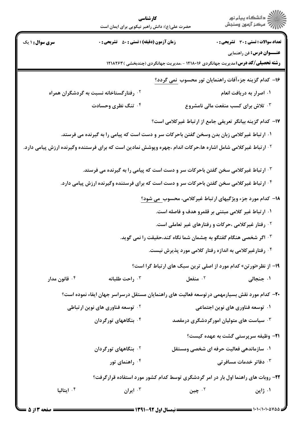|                                                                                                                          | كارشناسي<br>حضرت علی(ع): دانش راهبر نیکویی برای ایمان است                                     |                                                                                | ِ<br>∭ دانشڪاه پيام نور<br>∭ مرڪز آزمون وسنڊش                                                                                |  |  |
|--------------------------------------------------------------------------------------------------------------------------|-----------------------------------------------------------------------------------------------|--------------------------------------------------------------------------------|------------------------------------------------------------------------------------------------------------------------------|--|--|
| <b>سری سوال : ۱ یک</b>                                                                                                   | <b>زمان آزمون (دقیقه) : تستی : 50 ٪ تشریحی : 0</b>                                            |                                                                                | <b>تعداد سوالات : تستی : 30 ٪ تشریحی : 0</b>                                                                                 |  |  |
|                                                                                                                          |                                                                                               |                                                                                | <b>عنـــوان درس:</b> فن راهنمایی<br><b>رشته تحصیلی/کد درس:</b> مدیریت جهانگردی ۱۲۱۸۰۱۶ - ،مدیریت جهانگردی (چندبخشی ) ۱۲۱۸۲۶۳ |  |  |
|                                                                                                                          | ۱۶– کدام گزینه جزءآفات راهنمایان تور محسوب نمی گردد؟                                          |                                                                                |                                                                                                                              |  |  |
|                                                                                                                          | ۰۲ رفتارگستاخانه نسبت به گردشگران همراه                                                       |                                                                                | ۰۱ اصرار به دریافت انعام                                                                                                     |  |  |
|                                                                                                                          | ۰۴ تنگ نظری وحسادت                                                                            |                                                                                | <b>4 . تلاش برای کسب منفعت مالی نامشروع</b>                                                                                  |  |  |
|                                                                                                                          |                                                                                               |                                                                                | ۱۷– کدام گزینه بیانگر تعریفی جامع از ارتباط غیرکلامی است؟                                                                    |  |  |
| ۰۱ ارتباط غیرکلامی زبان بدن وسخن گفتن باحرکات سر و دست است که پیامی را به گیرنده می فرستد.                               |                                                                                               |                                                                                |                                                                                                                              |  |  |
| <sup>۲ .</sup> ارتباط غیرکلامی شامل اشاره ها،حرکات اندام ،چهره وپوشش نمادین است که برای فرستنده وگیرنده ارزش پیامی دارد. |                                                                                               |                                                                                |                                                                                                                              |  |  |
| ۰۳ ارتباط غیرکلامی سخن گفتن باحرکات سر و دست است که پیامی را به گیرنده می فرستد.                                         |                                                                                               |                                                                                |                                                                                                                              |  |  |
|                                                                                                                          | ۰۴ ارتباط غیرکلامی سخن گفتن باحرکات سر و دست است که برای فرستنده وگیرنده ارزش پیامی دارد.     |                                                                                |                                                                                                                              |  |  |
|                                                                                                                          |                                                                                               |                                                                                | <b>۱۸</b> - کدام مورد جزء ویژگیهای ارتباط غیرکلامی، محسوب <u>می شود؟</u>                                                     |  |  |
|                                                                                                                          | ۰۱ ارتباط غیر کلامی مبتنی بر قلمرو هدف و فاصله است.                                           |                                                                                |                                                                                                                              |  |  |
|                                                                                                                          |                                                                                               |                                                                                | <sup>۰۲</sup> رفتار غیرکلامی ،حرکات و رفتارهای غیر تعاملی است.                                                               |  |  |
|                                                                                                                          |                                                                                               | ۰ <sup>۳ .</sup> اگر شخصی هنگام گفتگو به چشمان شما نگاه کند،حقیقت را نمی گوید. |                                                                                                                              |  |  |
|                                                                                                                          |                                                                                               | ۰ <sup>۴</sup> رفتارغیرکلامی به اندازه رفتار کلامی مورد پذیرش نیست.            |                                                                                                                              |  |  |
|                                                                                                                          |                                                                                               |                                                                                | ۱۹- از نظر«نورتن» کدام مورد از اصلی ترین سبک های ارتباط گرا است؟                                                             |  |  |
| ۰ <sup>۴</sup> قانون مدار                                                                                                | ۰۳ راحت طلبانه                                                                                | نفعل $\cdot$ ۲                                                                 | ۰۱ جنجالی                                                                                                                    |  |  |
|                                                                                                                          | +۲- کدام مورد نقش بسیارمهمی در توسعه فعالیت های راهنمایان مستقل درسراسر جهان ایفاء نموده است؟ |                                                                                |                                                                                                                              |  |  |
|                                                                                                                          | <sup>۲</sup> ۰ توسعه فناوری های نوین ارتباطی                                                  |                                                                                | ۰۱ توسعه فناوری های نوین اجتماعی                                                                                             |  |  |
|                                                                                                                          | ۰۴ بنگاههای تورگردان                                                                          |                                                                                | ۰ <sup>۳</sup> سیاست های متولیان امورگردشگری درمقصد                                                                          |  |  |
|                                                                                                                          |                                                                                               |                                                                                | <b>۲۱</b> - وظیفه سرپرستی گشت به عهده کیست؟                                                                                  |  |  |
|                                                                                                                          | ۰ <sup>۲</sup> بنگاههای تورگردان                                                              |                                                                                | ۰۱ سازماندهی فعالیت حرفه ای شخصی ومستقل                                                                                      |  |  |
|                                                                                                                          | راهنمای تور $\cdot^{\mathfrak{e}}$                                                            |                                                                                | ۰ <sup>۳</sup> دفاتر خدمات مسافرتی                                                                                           |  |  |
| ۲۲- روبات های راهنما اول بار در امر گردشگری توسط کدام کشور مورد استفاده قرارگرفت؟                                        |                                                                                               |                                                                                |                                                                                                                              |  |  |
| ۰۴ ایتالیا                                                                                                               | ايران $\cdot$                                                                                 | ۰۲ چين                                                                         | ۰۱ ژاپن                                                                                                                      |  |  |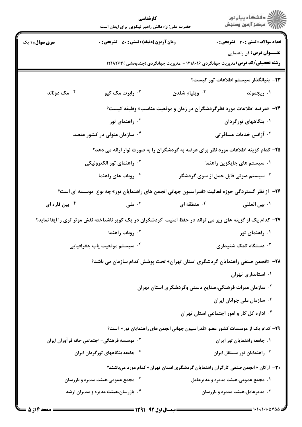|                                                                                      | كارشناسي<br>حضرت علی(ع): دانش راهبر نیکویی برای ایمان است                                                   |                                                                    | ِ دانشڪاه پيام نور<br>// مرڪز آزمون وسنڊش                                                      |  |  |
|--------------------------------------------------------------------------------------|-------------------------------------------------------------------------------------------------------------|--------------------------------------------------------------------|------------------------------------------------------------------------------------------------|--|--|
| <b>سری سوال : ۱ یک</b>                                                               | <b>زمان آزمون (دقیقه) : تستی : 50 ٪ تشریحی : 0</b>                                                          |                                                                    | <b>تعداد سوالات : تستی : 30 ٪ تشریحی : 0</b>                                                   |  |  |
|                                                                                      |                                                                                                             |                                                                    | <b>عنـــوان درس:</b> فن راهنمایی                                                               |  |  |
|                                                                                      |                                                                                                             |                                                                    | <b>رشته تحصیلی/کد درس:</b> مدیریت جهانگردی ۱۲۱۸۰۱۶ - ،مدیریت جهانگردی (چندبخشی ) ۱۲۱۸۲۶۳       |  |  |
|                                                                                      |                                                                                                             |                                                                    | ٢٣– بنيانگذار سيستم اطلاعات تور كيست؟                                                          |  |  |
| ۰۴ مک دونالد                                                                         | ۰۳ رابرت مک کیو                                                                                             | ۰ <sup>۲</sup> ویلیام شلدن                                         | ۰۱ ریچموند                                                                                     |  |  |
|                                                                                      |                                                                                                             |                                                                    | ۲۴− «عرضه اطلاعات مورد نظرگردشگران در زمان و موقعیت مناسب» وظیفه کیست؟                         |  |  |
|                                                                                      | ۰ <sup>۲</sup> راهنمای تور                                                                                  |                                                                    | ۰۱ بنگاههای تورگردان                                                                           |  |  |
| ۰ <sup>۴</sup> سازمان متولی در کشور مقصد                                             |                                                                                                             |                                                                    | ۰ <sup>۳</sup> آژانس خدمات مسافرتی                                                             |  |  |
|                                                                                      |                                                                                                             |                                                                    | ۲۵– کدام گزینه اطلاعات مورد نظر برای عرضه به گردشگران را به صورت نوار ارائه می دهد؟            |  |  |
|                                                                                      | ۰ <sup>۲</sup> راهنمای تور الکترونیکی                                                                       |                                                                    | ۰۱ سیستم های جایگزین راهنما                                                                    |  |  |
|                                                                                      | ۰ <sup>۴</sup> روبات های راهنما                                                                             |                                                                    | ۰۳ سیستم صوتی قابل حمل از سوی گردشگر                                                           |  |  |
|                                                                                      |                                                                                                             |                                                                    | ۲۶–  از نظر گستردگی حوزه فعالیت «فدراسیون جهانی انجمن های راهنمایان تور» چه نوع  موسسه ای است؟ |  |  |
| ۰ <sup>۴</sup> بین قاره ای                                                           | ا ملی $\cdot$                                                                                               | ۰۲ منطقه ای $\cdot$                                                | ۰۱ بين المللي                                                                                  |  |  |
|                                                                                      | ۲۷- کدام یک از گزینه های زیر می تواند در حفظ امنیت گردشگران در یک کویر ناشناخته نقش موثر تری را ایفا نماید؟ |                                                                    |                                                                                                |  |  |
|                                                                                      | <b>10 روبات راهنما</b>                                                                                      |                                                                    | ۰۱ راهنمای تور                                                                                 |  |  |
|                                                                                      | ۰ <sup>۴</sup> سیستم موقعیت یاب جغرافیایی                                                                   |                                                                    | ۰۳ دستگاه کمک شنیداری $\cdot$                                                                  |  |  |
| <b>۲۸</b> - «انجمن صنفی راهنمایان گردشگری استان تهران» تحت پوشش کدام سازمان می باشد؟ |                                                                                                             |                                                                    |                                                                                                |  |  |
|                                                                                      |                                                                                                             |                                                                    | ۰۱ استانداری تهران                                                                             |  |  |
|                                                                                      |                                                                                                             | <sup>۲</sup> ۰ سازمان میراث فرهنگی،صنایع دستی وگردشگری استان تهران |                                                                                                |  |  |
|                                                                                      |                                                                                                             |                                                                    | ۰ <sup>۳</sup> سازمان ملی جوانان ایران                                                         |  |  |
|                                                                                      |                                                                                                             |                                                                    | ۰۴ اداره کل کار و امور اجتماعی استان تهران                                                     |  |  |
|                                                                                      |                                                                                                             |                                                                    | <b>۲۹</b> – کدام یک از موسسات کشور عضو «فدراسیون جهانی انجمن های راهنمایان تور» است؟           |  |  |
|                                                                                      | ۰۲ موسسه فرهنگی- اجتماعی خانه فرآوران ایران                                                                 |                                                                    | ۰۱ جامعه راهنمایان تور ایران                                                                   |  |  |
|                                                                                      | ۰۴ جامعه بنگاههای تورگردان ایران                                                                            |                                                                    | ۰۳ راهنمایان تور مستقل ایران                                                                   |  |  |
|                                                                                      |                                                                                                             |                                                                    | <b>۳۰</b> – ارکان «انجمن صنفی کارگران راهنمایان گردشگری استان تهران» کدام مورد میباشند؟        |  |  |
|                                                                                      | ۰۲ مجمع عمومی،هیئت مدیره و بازرسان                                                                          |                                                                    | ۰۱ مجمع عمومی،هیئت مدیره و مدیرعامل                                                            |  |  |
|                                                                                      | ۰۴ بازرسان،هیئت مدیره و مدیران ارشد                                                                         |                                                                    | ۰۳ مدیرعامل،هیئت مدیره و بازرسان                                                               |  |  |